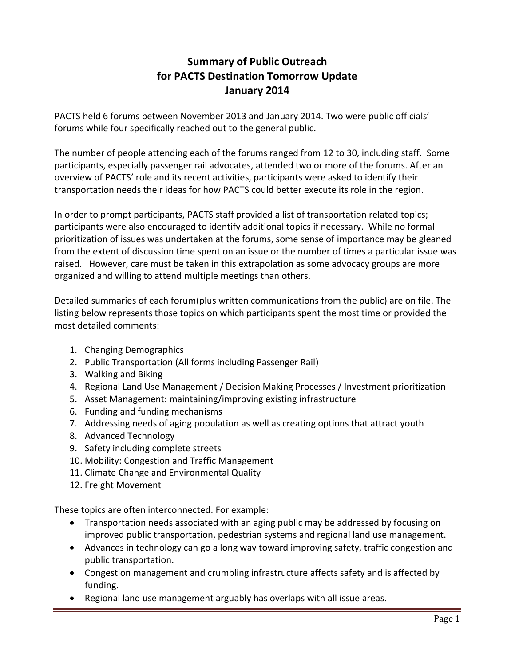# **Summary of Public Outreach for PACTS Destination Tomorrow Update January 2014**

PACTS held 6 forums between November 2013 and January 2014. Two were public officials' forums while four specifically reached out to the general public.

The number of people attending each of the forums ranged from 12 to 30, including staff. Some participants, especially passenger rail advocates, attended two or more of the forums. After an overview of PACTS' role and its recent activities, participants were asked to identify their transportation needs their ideas for how PACTS could better execute its role in the region.

In order to prompt participants, PACTS staff provided a list of transportation related topics; participants were also encouraged to identify additional topics if necessary. While no formal prioritization of issues was undertaken at the forums, some sense of importance may be gleaned from the extent of discussion time spent on an issue or the number of times a particular issue was raised. However, care must be taken in this extrapolation as some advocacy groups are more organized and willing to attend multiple meetings than others.

Detailed summaries of each forum(plus written communications from the public) are on file. The listing below represents those topics on which participants spent the most time or provided the most detailed comments:

- 1. Changing Demographics
- 2. Public Transportation (All forms including Passenger Rail)
- 3. Walking and Biking
- 4. Regional Land Use Management / Decision Making Processes / Investment prioritization
- 5. Asset Management: maintaining/improving existing infrastructure
- 6. Funding and funding mechanisms
- 7. Addressing needs of aging population as well as creating options that attract youth
- 8. Advanced Technology
- 9. Safety including complete streets
- 10. Mobility: Congestion and Traffic Management
- 11. Climate Change and Environmental Quality
- 12. Freight Movement

These topics are often interconnected. For example:

- Transportation needs associated with an aging public may be addressed by focusing on improved public transportation, pedestrian systems and regional land use management.
- Advances in technology can go a long way toward improving safety, traffic congestion and public transportation.
- Congestion management and crumbling infrastructure affects safety and is affected by funding.
- Regional land use management arguably has overlaps with all issue areas.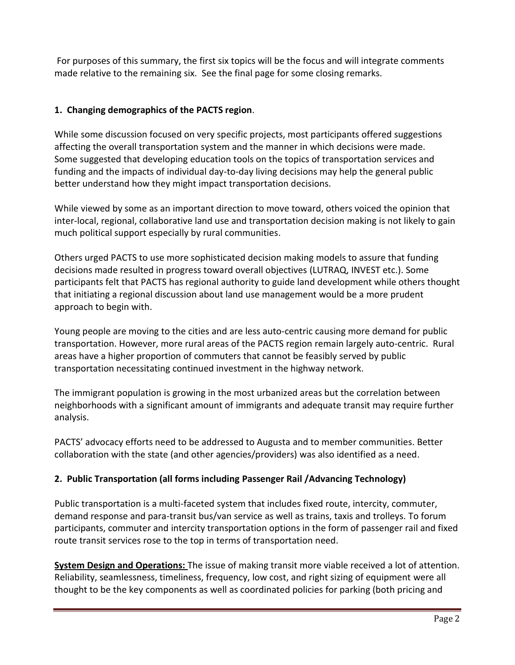For purposes of this summary, the first six topics will be the focus and will integrate comments made relative to the remaining six. See the final page for some closing remarks.

## **1. Changing demographics of the PACTS region**.

While some discussion focused on very specific projects, most participants offered suggestions affecting the overall transportation system and the manner in which decisions were made. Some suggested that developing education tools on the topics of transportation services and funding and the impacts of individual day-to-day living decisions may help the general public better understand how they might impact transportation decisions.

While viewed by some as an important direction to move toward, others voiced the opinion that inter-local, regional, collaborative land use and transportation decision making is not likely to gain much political support especially by rural communities.

Others urged PACTS to use more sophisticated decision making models to assure that funding decisions made resulted in progress toward overall objectives (LUTRAQ, INVEST etc.). Some participants felt that PACTS has regional authority to guide land development while others thought that initiating a regional discussion about land use management would be a more prudent approach to begin with.

Young people are moving to the cities and are less auto-centric causing more demand for public transportation. However, more rural areas of the PACTS region remain largely auto-centric. Rural areas have a higher proportion of commuters that cannot be feasibly served by public transportation necessitating continued investment in the highway network.

The immigrant population is growing in the most urbanized areas but the correlation between neighborhoods with a significant amount of immigrants and adequate transit may require further analysis.

PACTS' advocacy efforts need to be addressed to Augusta and to member communities. Better collaboration with the state (and other agencies/providers) was also identified as a need.

# **2. Public Transportation (all forms including Passenger Rail /Advancing Technology)**

Public transportation is a multi-faceted system that includes fixed route, intercity, commuter, demand response and para-transit bus/van service as well as trains, taxis and trolleys. To forum participants, commuter and intercity transportation options in the form of passenger rail and fixed route transit services rose to the top in terms of transportation need.

**System Design and Operations:** The issue of making transit more viable received a lot of attention. Reliability, seamlessness, timeliness, frequency, low cost, and right sizing of equipment were all thought to be the key components as well as coordinated policies for parking (both pricing and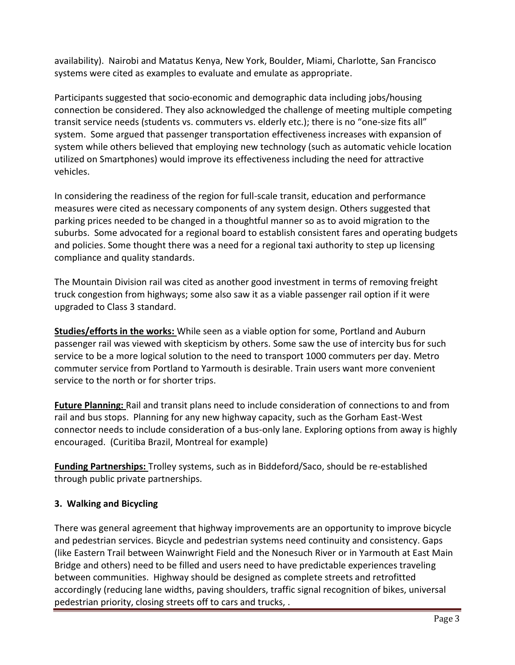availability). Nairobi and Matatus Kenya, New York, Boulder, Miami, Charlotte, San Francisco systems were cited as examples to evaluate and emulate as appropriate.

Participants suggested that socio-economic and demographic data including jobs/housing connection be considered. They also acknowledged the challenge of meeting multiple competing transit service needs (students vs. commuters vs. elderly etc.); there is no "one-size fits all" system. Some argued that passenger transportation effectiveness increases with expansion of system while others believed that employing new technology (such as automatic vehicle location utilized on Smartphones) would improve its effectiveness including the need for attractive vehicles.

In considering the readiness of the region for full-scale transit, education and performance measures were cited as necessary components of any system design. Others suggested that parking prices needed to be changed in a thoughtful manner so as to avoid migration to the suburbs. Some advocated for a regional board to establish consistent fares and operating budgets and policies. Some thought there was a need for a regional taxi authority to step up licensing compliance and quality standards.

The Mountain Division rail was cited as another good investment in terms of removing freight truck congestion from highways; some also saw it as a viable passenger rail option if it were upgraded to Class 3 standard.

**Studies/efforts in the works:** While seen as a viable option for some, Portland and Auburn passenger rail was viewed with skepticism by others. Some saw the use of intercity bus for such service to be a more logical solution to the need to transport 1000 commuters per day. Metro commuter service from Portland to Yarmouth is desirable. Train users want more convenient service to the north or for shorter trips.

**Future Planning:** Rail and transit plans need to include consideration of connections to and from rail and bus stops. Planning for any new highway capacity, such as the Gorham East-West connector needs to include consideration of a bus-only lane. Exploring options from away is highly encouraged. (Curitiba Brazil, Montreal for example)

**Funding Partnerships:** Trolley systems, such as in Biddeford/Saco, should be re-established through public private partnerships.

#### **3. Walking and Bicycling**

There was general agreement that highway improvements are an opportunity to improve bicycle and pedestrian services. Bicycle and pedestrian systems need continuity and consistency. Gaps (like Eastern Trail between Wainwright Field and the Nonesuch River or in Yarmouth at East Main Bridge and others) need to be filled and users need to have predictable experiences traveling between communities. Highway should be designed as complete streets and retrofitted accordingly (reducing lane widths, paving shoulders, traffic signal recognition of bikes, universal pedestrian priority, closing streets off to cars and trucks, .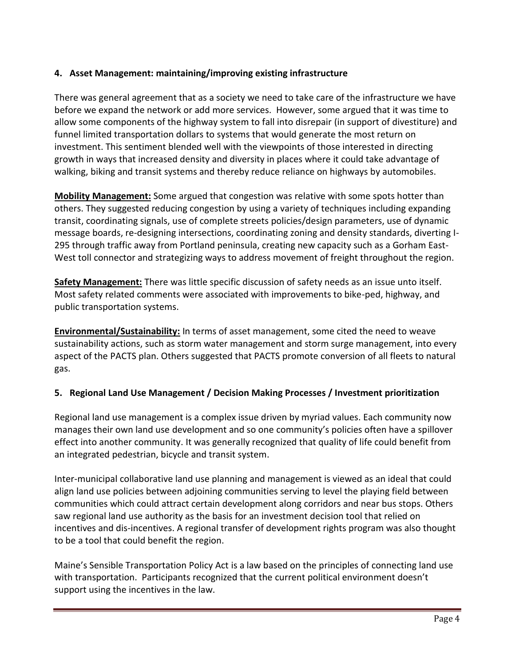### **4. Asset Management: maintaining/improving existing infrastructure**

There was general agreement that as a society we need to take care of the infrastructure we have before we expand the network or add more services. However, some argued that it was time to allow some components of the highway system to fall into disrepair (in support of divestiture) and funnel limited transportation dollars to systems that would generate the most return on investment. This sentiment blended well with the viewpoints of those interested in directing growth in ways that increased density and diversity in places where it could take advantage of walking, biking and transit systems and thereby reduce reliance on highways by automobiles.

**Mobility Management:** Some argued that congestion was relative with some spots hotter than others. They suggested reducing congestion by using a variety of techniques including expanding transit, coordinating signals, use of complete streets policies/design parameters, use of dynamic message boards, re-designing intersections, coordinating zoning and density standards, diverting I-295 through traffic away from Portland peninsula, creating new capacity such as a Gorham East-West toll connector and strategizing ways to address movement of freight throughout the region.

**Safety Management:** There was little specific discussion of safety needs as an issue unto itself. Most safety related comments were associated with improvements to bike-ped, highway, and public transportation systems.

**Environmental/Sustainability:** In terms of asset management, some cited the need to weave sustainability actions, such as storm water management and storm surge management, into every aspect of the PACTS plan. Others suggested that PACTS promote conversion of all fleets to natural gas.

#### **5. Regional Land Use Management / Decision Making Processes / Investment prioritization**

Regional land use management is a complex issue driven by myriad values. Each community now manages their own land use development and so one community's policies often have a spillover effect into another community. It was generally recognized that quality of life could benefit from an integrated pedestrian, bicycle and transit system.

Inter-municipal collaborative land use planning and management is viewed as an ideal that could align land use policies between adjoining communities serving to level the playing field between communities which could attract certain development along corridors and near bus stops. Others saw regional land use authority as the basis for an investment decision tool that relied on incentives and dis-incentives. A regional transfer of development rights program was also thought to be a tool that could benefit the region.

Maine's Sensible Transportation Policy Act is a law based on the principles of connecting land use with transportation. Participants recognized that the current political environment doesn't support using the incentives in the law.